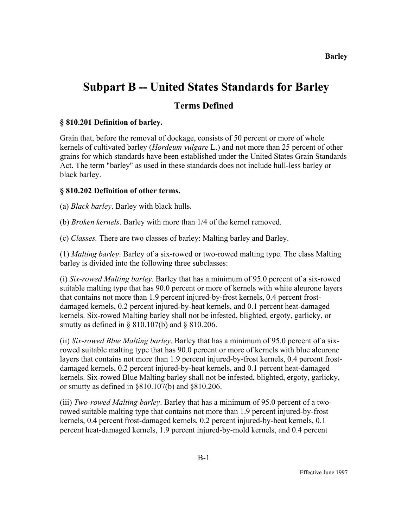# **Subpart B -- United States Standards for Barley**

# **Terms Defined**

# **§ 810.201 Definition of barley.**

Grain that, before the removal of dockage, consists of 50 percent or more of whole kernels of cultivated barley (*Hordeum vulgare* L.) and not more than 25 percent of other grains for which standards have been established under the United States Grain Standards Act. The term "barley" as used in these standards does not include hull-less barley or black barley.

# **§ 810.202 Definition of other terms.**

(a) *Black barley*. Barley with black hulls.

(b) *Broken kernels*. Barley with more than 1/4 of the kernel removed.

(c) *Classes.* There are two classes of barley: Malting barley and Barley.

(1) *Malting barley*. Barley of a six-rowed or two-rowed malting type. The class Malting barley is divided into the following three subclasses:

(i) *Six-rowed Malting barley*. Barley that has a minimum of 95.0 percent of a six-rowed suitable malting type that has 90.0 percent or more of kernels with white aleurone layers that contains not more than 1.9 percent injured-by-frost kernels, 0.4 percent frostdamaged kernels, 0.2 percent injured-by-heat kernels, and 0.1 percent heat-damaged kernels. Six-rowed Malting barley shall not be infested, blighted, ergoty, garlicky, or smutty as defined in § 810.107(b) and § 810.206.

(ii) *Six-rowed Blue Malting barley*. Barley that has a minimum of 95.0 percent of a sixrowed suitable malting type that has 90.0 percent or more of kernels with blue aleurone layers that contains not more than 1.9 percent injured-by-frost kernels, 0.4 percent frostdamaged kernels, 0.2 percent injured-by-heat kernels, and 0.1 percent heat-damaged kernels. Six-rowed Blue Malting barley shall not be infested, blighted, ergoty, garlicky, or smutty as defined in §810.107(b) and §810.206.

(iii) *Two-rowed Malting barley*. Barley that has a minimum of 95.0 percent of a tworowed suitable malting type that contains not more than 1.9 percent injured-by-frost kernels, 0.4 percent frost-damaged kernels, 0.2 percent injured-by-heat kernels, 0.1 percent heat-damaged kernels, 1.9 percent injured-by-mold kernels, and 0.4 percent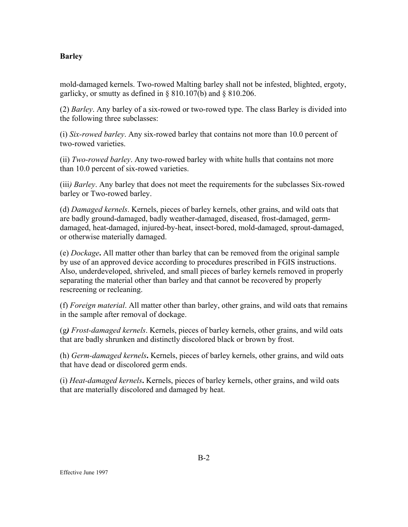mold-damaged kernels. Two-rowed Malting barley shall not be infested, blighted, ergoty, garlicky, or smutty as defined in § 810.107(b) and § 810.206.

(2) *Barley*. Any barley of a six-rowed or two-rowed type. The class Barley is divided into the following three subclasses:

(i) *Six-rowed barley*. Any six-rowed barley that contains not more than 10.0 percent of two-rowed varieties.

(ii) *Two-rowed barley*. Any two-rowed barley with white hulls that contains not more than 10.0 percent of six-rowed varieties.

(iii*) Barley*. Any barley that does not meet the requirements for the subclasses Six-rowed barley or Two-rowed barley.

(d) *Damaged kernels*. Kernels, pieces of barley kernels, other grains, and wild oats that are badly ground-damaged, badly weather-damaged, diseased, frost-damaged, germdamaged, heat-damaged, injured-by-heat, insect-bored, mold-damaged, sprout-damaged, or otherwise materially damaged.

(e) *Dockage***.** All matter other than barley that can be removed from the original sample by use of an approved device according to procedures prescribed in FGIS instructions. Also, underdeveloped, shriveled, and small pieces of barley kernels removed in properly separating the material other than barley and that cannot be recovered by properly rescreening or recleaning.

(f) *Foreign material*. All matter other than barley, other grains, and wild oats that remains in the sample after removal of dockage.

(g*) Frost-damaged kernels*. Kernels, pieces of barley kernels, other grains, and wild oats that are badly shrunken and distinctly discolored black or brown by frost.

(h) *Germ-damaged kernels***.** Kernels, pieces of barley kernels, other grains, and wild oats that have dead or discolored germ ends.

(i) *Heat-damaged kernels***.** Kernels, pieces of barley kernels, other grains, and wild oats that are materially discolored and damaged by heat.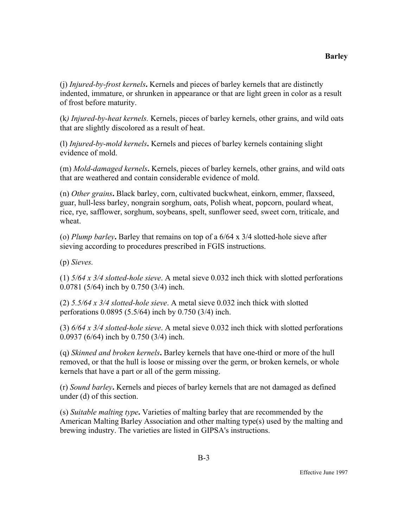(j) *Injured-by-frost kernels***.** Kernels and pieces of barley kernels that are distinctly indented, immature, or shrunken in appearance or that are light green in color as a result of frost before maturity.

(k*) Injured-by-heat kernels.* Kernels, pieces of barley kernels, other grains, and wild oats that are slightly discolored as a result of heat.

(l) *Injured-by-mold kernels***.** Kernels and pieces of barley kernels containing slight evidence of mold.

(m) *Mold-damaged kernels***.** Kernels, pieces of barley kernels, other grains, and wild oats that are weathered and contain considerable evidence of mold.

(n) *Other grains***.** Black barley, corn, cultivated buckwheat, einkorn, emmer, flaxseed, guar, hull-less barley, nongrain sorghum, oats, Polish wheat, popcorn, poulard wheat, rice, rye, safflower, sorghum, soybeans, spelt, sunflower seed, sweet corn, triticale, and wheat.

(o) *Plump barley***.** Barley that remains on top of a 6/64 x 3/4 slotted-hole sieve after sieving according to procedures prescribed in FGIS instructions.

(p) *Sieves.* 

(1) *5/64 x 3/4 slotted-hole sieve*. A metal sieve 0.032 inch thick with slotted perforations 0.0781 (5/64) inch by 0.750 (3/4) inch.

(2) *5.5/64 x 3/4 slotted-hole sieve*. A metal sieve 0.032 inch thick with slotted perforations 0.0895 (5.5/64) inch by 0.750 (3/4) inch.

(3) *6/64 x 3/4 slotted-hole sieve*. A metal sieve 0.032 inch thick with slotted perforations 0.0937 (6/64) inch by 0.750 (3/4) inch.

(q) *Skinned and broken kernels***.** Barley kernels that have one-third or more of the hull removed, or that the hull is loose or missing over the germ, or broken kernels, or whole kernels that have a part or all of the germ missing.

(r) *Sound barley***.** Kernels and pieces of barley kernels that are not damaged as defined under (d) of this section.

(s) *Suitable malting type***.** Varieties of malting barley that are recommended by the American Malting Barley Association and other malting type(s) used by the malting and brewing industry. The varieties are listed in GIPSA's instructions.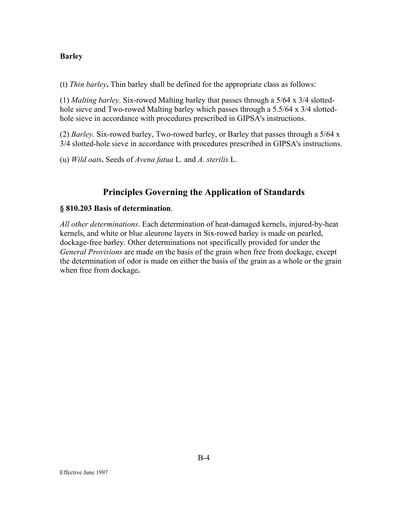(t) *Thin barley***.** Thin barley shall be defined for the appropriate class as follows:

(1) *Malting barley*. Six-rowed Malting barley that passes through a 5/64 x 3/4 slottedhole sieve and Two-rowed Malting barley which passes through a 5.5/64 x 3/4 slottedhole sieve in accordance with procedures prescribed in GIPSA's instructions.

(2) *Barley.* Six-rowed barley, Two-rowed barley, or Barley that passes through a 5/64 x 3/4 slotted-hole sieve in accordance with procedures prescribed in GIPSA's instructions.

(u) *Wild oats***.** Seeds of *Avena fatua* L. and *A. sterilis* L.

# **Principles Governing the Application of Standards**

#### **§ 810.203 Basis of determination**.

*All other determinations*. Each determination of heat-damaged kernels, injured-by-heat kernels, and white or blue aleurone layers in Six-rowed barley is made on pearled, dockage-free barley. Other determinations not specifically provided for under the *General Provisions* are made on the basis of the grain when free from dockage, except the determination of odor is made on either the basis of the grain as a whole or the grain when free from dockage**.**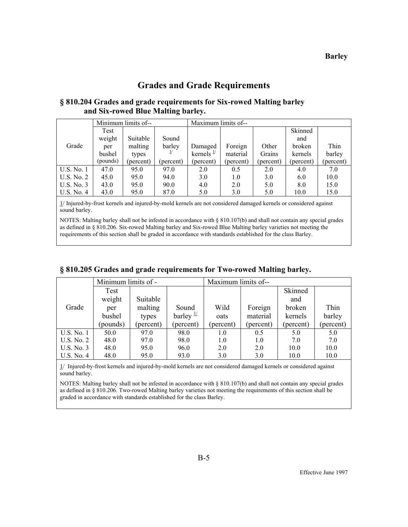# **Grades and Grade Requirements**

# **§ 810.204 Grades and grade requirements for Six-rowed Malting barley and Six-rowed Blue Malting barley.**

|            | Minimum limits of--<br>Maximum limits of-- |           |               |                       |           |           |           |           |
|------------|--------------------------------------------|-----------|---------------|-----------------------|-----------|-----------|-----------|-----------|
|            | Test                                       |           |               |                       |           |           | Skinned   |           |
|            | weight                                     | Suitable  | Sound         |                       |           |           | and       |           |
| Grade      | per                                        | malting   | barley        | Damaged               | Foreign   | Other     | broken    | Thin      |
|            | bushel                                     | types     | $\frac{1}{2}$ | kernels $\frac{1}{2}$ | material  | Grains    | kernels   | barley    |
|            | (pounds)                                   | (percent) | (percent)     | (percent)             | (percent) | (percent) | (percent) | (percent) |
| U.S. No. 1 | 47.0                                       | 95.0      | 97.0          | 2.0                   | 0.5       | 2.0       | 4.0       | 7.0       |
| U.S. No. 2 | 45.0                                       | 95.0      | 94.0          | 3.0                   | 1.0       | 3.0       | 6.0       | 10.0      |
| U.S. No. 3 | 43.0                                       | 95.0      | 90.0          | 4.0                   | 2.0       | 5.0       | 8.0       | 15.0      |
| U.S. No. 4 | 43.0                                       | 95.0      | 87.0          | 5.0                   | 3.0       | 5.0       | 10.0      | 15.0      |

1/ Injured-by-frost kernels and injured-by-mold kernels are not considered damaged kernels or considered against sound barley.

NOTES: Malting barley shall not be infested in accordance with § 810.107(b) and shall not contain any special grades as defined in § 810.206. Six-rowed Malting barley and Six-rowed Blue Malting barley varieties not meeting the requirements of this section shall be graded in accordance with standards established for the class Barley.

|            | Minimum limits of - |           |                      | Maximum limits of-- |           |           |           |
|------------|---------------------|-----------|----------------------|---------------------|-----------|-----------|-----------|
|            | Test                |           |                      |                     |           | Skinned   |           |
|            | weight              | Suitable  |                      |                     |           | and       |           |
| Grade      | per                 | malting   | Sound                | Wild                | Foreign   | broken    | Thin      |
|            | bushel              | types     | barley $\frac{1}{2}$ | oats                | material  | kernels   | barley    |
|            | (pounds)            | (percent) | (percent)            | (percent)           | (percent) | (percent) | (percent) |
| U.S. No. 1 | 50.0                | 97.0      | 98.0                 | 1.0                 | 0.5       | 5.0       | 5.0       |
| U.S. No. 2 | 48.0                | 97.0      | 98.0                 | 1.0                 | 1.0       | 7.0       | 7.0       |
| U.S. No. 3 | 48.0                | 95.0      | 96.0                 | 2.0                 | 2.0       | 10.0      | 10.0      |
| U.S. No. 4 | 48.0                | 95.0      | 93.0                 | 3.0                 | 3.0       | 10.0      | 10.0      |

#### **§ 810.205 Grades and grade requirements for Two-rowed Malting barley.**

1/ Injured-by-frost kernels and injured-by-mold kernels are not considered damaged kernels or considered against sound barley.

NOTES: Malting barley shall not be infested in accordance with § 810.107(b) and shall not contain any special grades as defined in § 810.206. Two-rowed Malting barley varieties not meeting the requirements of this section shall be graded in accordance with standards established for the class Barley.

B-5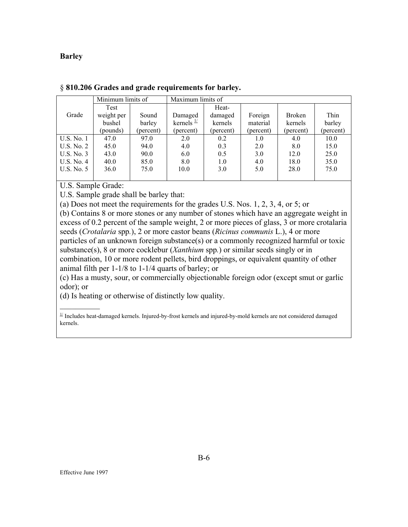|            | Minimum limits of |           | Maximum limits of     |           |           |               |           |  |  |
|------------|-------------------|-----------|-----------------------|-----------|-----------|---------------|-----------|--|--|
|            | Test              |           |                       | Heat-     |           |               |           |  |  |
| Grade      | weight per        | Sound     | Damaged               | damaged   | Foreign   | <b>Broken</b> | Thin      |  |  |
|            | bushel            | barley    | kernels $\frac{1}{2}$ | kernels   | material  | kernels       | barley    |  |  |
|            | (pounds)          | (percent) | (percent)             | (percent) | (percent) | (percent)     | (percent) |  |  |
| U.S. No. 1 | 47.0              | 97.0      | 2.0                   | 0.2       | 1.0       | 4.0           | 10.0      |  |  |
| U.S. No. 2 | 45.0              | 94.0      | 4.0                   | 0.3       | 2.0       | 8.0           | 15.0      |  |  |
| U.S. No. 3 | 43.0              | 90.0      | 6.0                   | 0.5       | 3.0       | 12.0          | 25.0      |  |  |
| U.S. No. 4 | 40.0              | 85.0      | 8.0                   | 1.0       | 4.0       | 18.0          | 35.0      |  |  |
| U.S. No. 5 | 36.0              | 75.0      | 10.0                  | 3.0       | 5.0       | 28.0          | 75.0      |  |  |
|            |                   |           |                       |           |           |               |           |  |  |

| § 810.206 Grades and grade requirements for barley. |  |  |  |  |  |  |
|-----------------------------------------------------|--|--|--|--|--|--|
|-----------------------------------------------------|--|--|--|--|--|--|

U.S. Sample Grade:

 $\frac{1}{2}$ 

U.S. Sample grade shall be barley that:

(a) Does not meet the requirements for the grades U.S. Nos. 1, 2, 3, 4, or 5; or

(b) Contains 8 or more stones or any number of stones which have an aggregate weight in excess of 0.2 percent of the sample weight, 2 or more pieces of glass, 3 or more crotalaria seeds (*Crotalaria* spp*.*), 2 or more castor beans (*Ricinus communis* L.), 4 or more particles of an unknown foreign substance(s) or a commonly recognized harmful or toxic substance(s), 8 or more cocklebur (*Xanthium* spp*.*) or similar seeds singly or in combination, 10 or more rodent pellets, bird droppings, or equivalent quantity of other animal filth per 1-1/8 to 1-1/4 quarts of barley; or

(c) Has a musty, sour, or commercially objectionable foreign odor (except smut or garlic odor); or

(d) Is heating or otherwise of distinctly low quality.

 $\frac{1}{2}$  Includes heat-damaged kernels. Injured-by-frost kernels and injured-by-mold kernels are not considered damaged kernels.